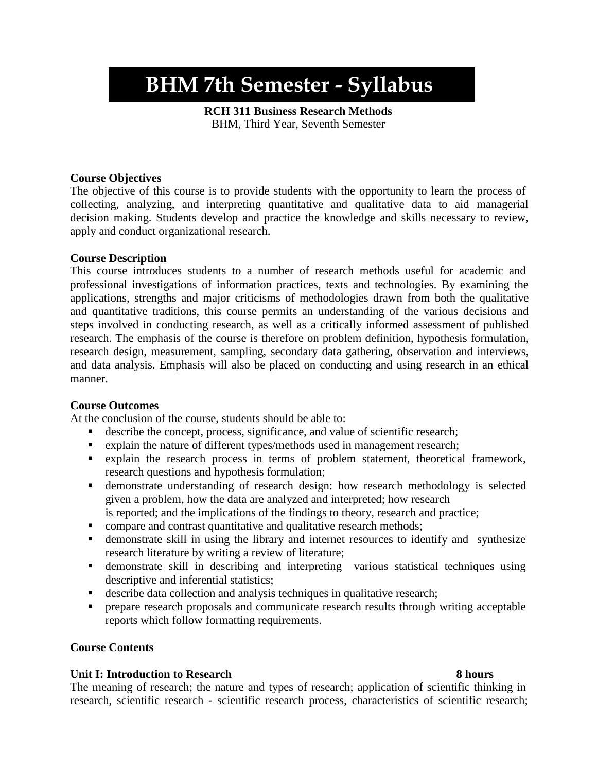# **BHM 7th Semester - Syllabus**

**RCH 311 Business Research Methods** BHM, Third Year, Seventh Semester

### **Course Objectives**

The objective of this course is to provide students with the opportunity to learn the process of collecting, analyzing, and interpreting quantitative and qualitative data to aid managerial decision making. Students develop and practice the knowledge and skills necessary to review, apply and conduct organizational research.

#### **Course Description**

This course introduces students to a number of research methods useful for academic and professional investigations of information practices, texts and technologies. By examining the applications, strengths and major criticisms of methodologies drawn from both the qualitative and quantitative traditions, this course permits an understanding of the various decisions and steps involved in conducting research, as well as a critically informed assessment of published research. The emphasis of the course is therefore on problem definition, hypothesis formulation, research design, measurement, sampling, secondary data gathering, observation and interviews, and data analysis. Emphasis will also be placed on conducting and using research in an ethical manner.

#### **Course Outcomes**

At the conclusion of the course, students should be able to:

- describe the concept, process, significance, and value of scientific research;
- explain the nature of different types/methods used in management research;
- explain the research process in terms of problem statement, theoretical framework, research questions and hypothesis formulation;
- **Exercise** demonstrate understanding of research design: how research methodology is selected given a problem, how the data are analyzed and interpreted; how research
- is reported; and the implications of the findings to theory, research and practice;
- compare and contrast quantitative and qualitative research methods;
- **•** demonstrate skill in using the library and internet resources to identify and synthesize research literature by writing a review of literature;
- **Exercise** demonstrate skill in describing and interpreting various statistical techniques using descriptive and inferential statistics;
- describe data collection and analysis techniques in qualitative research;
- **•** prepare research proposals and communicate research results through writing acceptable reports which follow formatting requirements.

#### **Course Contents**

#### **Unit I: Introduction to Research 8 hours**

The meaning of research; the nature and types of research; application of scientific thinking in research, scientific research - scientific research process, characteristics of scientific research;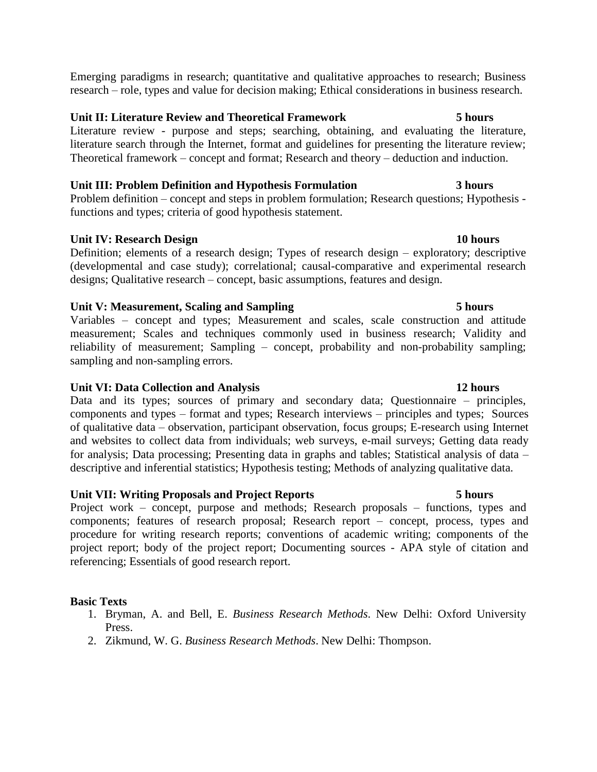Emerging paradigms in research; quantitative and qualitative approaches to research; Business research – role, types and value for decision making; Ethical considerations in business research.

# **Unit II: Literature Review and Theoretical Framework 5 hours**

Literature review - purpose and steps; searching, obtaining, and evaluating the literature, literature search through the Internet, format and guidelines for presenting the literature review; Theoretical framework – concept and format; Research and theory – deduction and induction.

# **Unit III: Problem Definition and Hypothesis Formulation 3 hours**

Problem definition – concept and steps in problem formulation; Research questions; Hypothesis functions and types; criteria of good hypothesis statement.

# **Unit IV: Research Design 10 hours**

Definition; elements of a research design; Types of research design – exploratory; descriptive (developmental and case study); correlational; causal-comparative and experimental research designs; Qualitative research – concept, basic assumptions, features and design.

# **Unit V: Measurement, Scaling and Sampling 5 hours**

Variables – concept and types; Measurement and scales, scale construction and attitude measurement; Scales and techniques commonly used in business research; Validity and reliability of measurement; Sampling – concept, probability and non-probability sampling; sampling and non-sampling errors.

# **Unit VI: Data Collection and Analysis 12 hours**

Data and its types; sources of primary and secondary data; Questionnaire – principles, components and types – format and types; Research interviews – principles and types; Sources of qualitative data – observation, participant observation, focus groups; E-research using Internet and websites to collect data from individuals; web surveys, e-mail surveys; Getting data ready for analysis; Data processing; Presenting data in graphs and tables; Statistical analysis of data – descriptive and inferential statistics; Hypothesis testing; Methods of analyzing qualitative data.

# **Unit VII: Writing Proposals and Project Reports 5 hours**

Project work – concept, purpose and methods; Research proposals – functions, types and components; features of research proposal; Research report – concept, process, types and procedure for writing research reports; conventions of academic writing; components of the project report; body of the project report; Documenting sources - APA style of citation and referencing; Essentials of good research report.

# **Basic Texts**

- 1. Bryman, A. and Bell, E. *Business Research Methods*. New Delhi: Oxford University Press.
- 2. Zikmund, W. G. *Business Research Methods*. New Delhi: Thompson.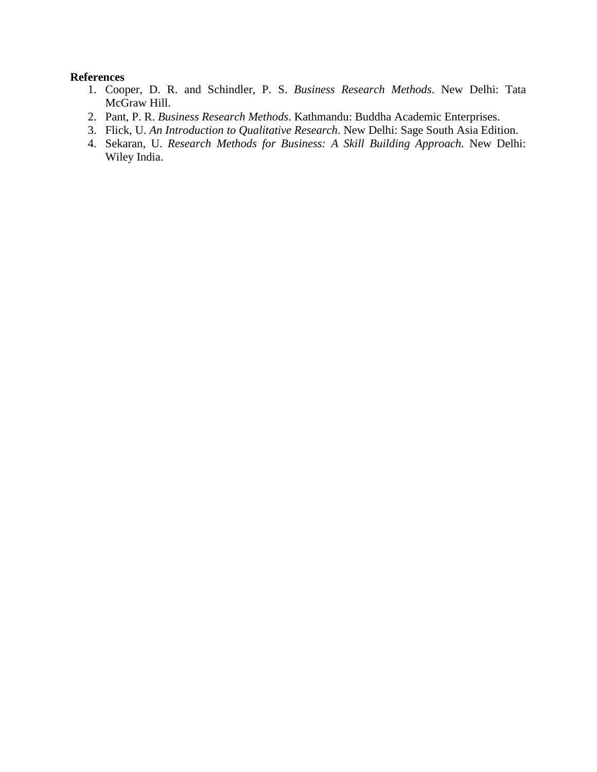- 1. Cooper, D. R. and Schindler, P. S. *Business Research Methods*. New Delhi: Tata McGraw Hill.
- 2. Pant, P. R. *Business Research Methods*. Kathmandu: Buddha Academic Enterprises.
- 3. Flick, U. *An Introduction to Qualitative Research*. New Delhi: Sage South Asia Edition.
- 4. Sekaran, U. *Research Methods for Business: A Skill Building Approach.* New Delhi: Wiley India.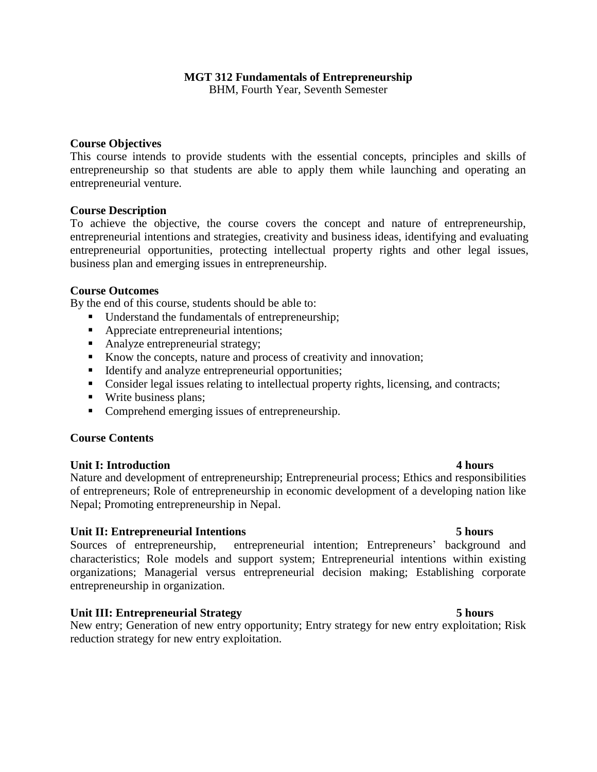# **MGT 312 Fundamentals of Entrepreneurship**

BHM, Fourth Year, Seventh Semester

#### **Course Objectives**

This course intends to provide students with the essential concepts, principles and skills of entrepreneurship so that students are able to apply them while launching and operating an entrepreneurial venture.

#### **Course Description**

To achieve the objective, the course covers the concept and nature of entrepreneurship, entrepreneurial intentions and strategies, creativity and business ideas, identifying and evaluating entrepreneurial opportunities, protecting intellectual property rights and other legal issues, business plan and emerging issues in entrepreneurship.

#### **Course Outcomes**

By the end of this course, students should be able to:

- Understand the fundamentals of entrepreneurship;
- Appreciate entrepreneurial intentions;
- Analyze entrepreneurial strategy;
- Know the concepts, nature and process of creativity and innovation;
- Identify and analyze entrepreneurial opportunities;
- Consider legal issues relating to intellectual property rights, licensing, and contracts;
- Write business plans;
- Comprehend emerging issues of entrepreneurship.

#### **Course Contents**

#### **Unit I: Introduction 4 hours**

Nature and development of entrepreneurship; Entrepreneurial process; Ethics and responsibilities of entrepreneurs; Role of entrepreneurship in economic development of a developing nation like Nepal; Promoting entrepreneurship in Nepal.

#### **Unit II: Entrepreneurial Intentions 5 hours**

Sources of entrepreneurship, entrepreneurial intention; Entrepreneurs' background and characteristics; Role models and support system; Entrepreneurial intentions within existing organizations; Managerial versus entrepreneurial decision making; Establishing corporate entrepreneurship in organization.

### **Unit III: Entrepreneurial Strategy 5 hours**

New entry; Generation of new entry opportunity; Entry strategy for new entry exploitation; Risk reduction strategy for new entry exploitation.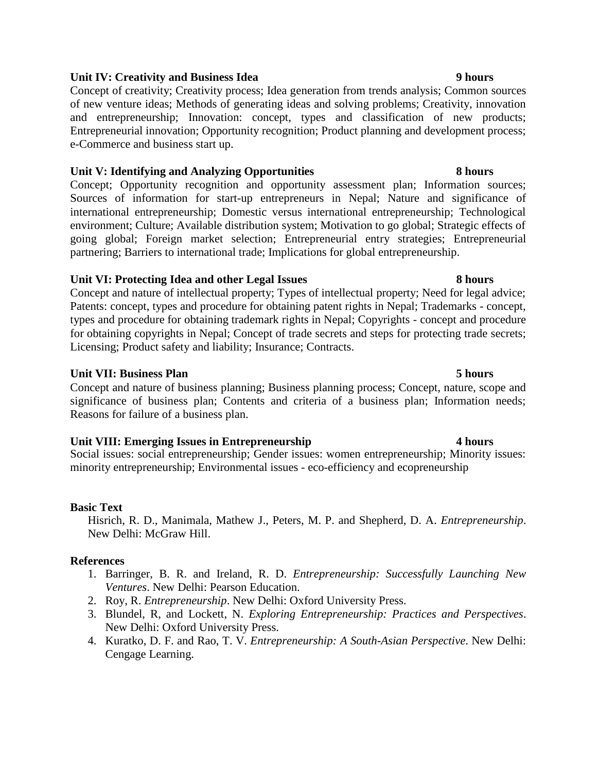# **Unit IV: Creativity and Business Idea 9 hours**

Concept of creativity; Creativity process; Idea generation from trends analysis; Common sources of new venture ideas; Methods of generating ideas and solving problems; Creativity, innovation and entrepreneurship; Innovation: concept, types and classification of new products; Entrepreneurial innovation; Opportunity recognition; Product planning and development process; e-Commerce and business start up.

### **Unit V: Identifying and Analyzing Opportunities 8 hours**

Concept; Opportunity recognition and opportunity assessment plan; Information sources; Sources of information for start-up entrepreneurs in Nepal; Nature and significance of international entrepreneurship; Domestic versus international entrepreneurship; Technological environment; Culture; Available distribution system; Motivation to go global; Strategic effects of going global; Foreign market selection; Entrepreneurial entry strategies; Entrepreneurial partnering; Barriers to international trade; Implications for global entrepreneurship.

### **Unit VI: Protecting Idea and other Legal Issues 8 hours**

Concept and nature of intellectual property; Types of intellectual property; Need for legal advice; Patents: concept, types and procedure for obtaining patent rights in Nepal; Trademarks - concept, types and procedure for obtaining trademark rights in Nepal; Copyrights - concept and procedure for obtaining copyrights in Nepal; Concept of trade secrets and steps for protecting trade secrets; Licensing; Product safety and liability; Insurance; Contracts.

### **Unit VII:** Business Plan 5 hours **5 hours**

Concept and nature of business planning; Business planning process; Concept, nature, scope and significance of business plan; Contents and criteria of a business plan; Information needs; Reasons for failure of a business plan.

### **Unit VIII: Emerging Issues in Entrepreneurship 4 hours**

Social issues: social entrepreneurship; Gender issues: women entrepreneurship; Minority issues: minority entrepreneurship; Environmental issues - eco-efficiency and ecopreneurship

### **Basic Text**

Hisrich, R. D., Manimala, Mathew J., Peters, M. P. and Shepherd, D. A. *Entrepreneurship*. New Delhi: McGraw Hill.

- 1. Barringer, B. R. and Ireland, R. D. *Entrepreneurship: Successfully Launching New Ventures*. New Delhi: Pearson Education.
- 2. Roy, R. *Entrepreneurship*. New Delhi: Oxford University Press.
- 3. Blundel, R, and Lockett, N. *Exploring Entrepreneurship: Practices and Perspectives*. New Delhi: Oxford University Press.
- 4. Kuratko, D. F. and Rao, T. V. *Entrepreneurship: A South-Asian Perspective*. New Delhi: Cengage Learning.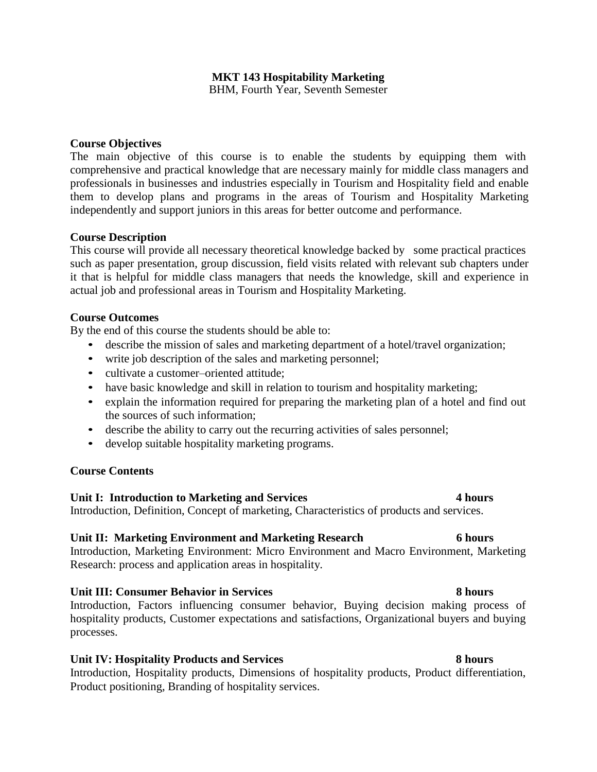# **MKT 143 Hospitability Marketing**

BHM, Fourth Year, Seventh Semester

#### **Course Objectives**

The main objective of this course is to enable the students by equipping them with comprehensive and practical knowledge that are necessary mainly for middle class managers and professionals in businesses and industries especially in Tourism and Hospitality field and enable them to develop plans and programs in the areas of Tourism and Hospitality Marketing independently and support juniors in this areas for better outcome and performance.

#### **Course Description**

This course will provide all necessary theoretical knowledge backed by some practical practices such as paper presentation, group discussion, field visits related with relevant sub chapters under it that is helpful for middle class managers that needs the knowledge, skill and experience in actual job and professional areas in Tourism and Hospitality Marketing.

#### **Course Outcomes**

By the end of this course the students should be able to:

- describe the mission of sales and marketing department of a hotel/travel organization;
- write job description of the sales and marketing personnel;
- cultivate a customer–oriented attitude;
- have basic knowledge and skill in relation to tourism and hospitality marketing;
- explain the information required for preparing the marketing plan of a hotel and find out the sources of such information;
- describe the ability to carry out the recurring activities of sales personnel;
- develop suitable hospitality marketing programs.

### **Course Contents**

### **Unit I: Introduction to Marketing and Services 4 hours**

Introduction, Definition, Concept of marketing, Characteristics of products and services.

### **Unit II: Marketing Environment and Marketing Research 6 hours**

Introduction, Marketing Environment: Micro Environment and Macro Environment, Marketing Research: process and application areas in hospitality.

### **Unit III: Consumer Behavior in Services 8 hours**

Introduction, Factors influencing consumer behavior, Buying decision making process of hospitality products, Customer expectations and satisfactions, Organizational buyers and buying processes.

### **Unit IV: Hospitality Products and Services 8 hours**

Introduction, Hospitality products, Dimensions of hospitality products, Product differentiation, Product positioning, Branding of hospitality services.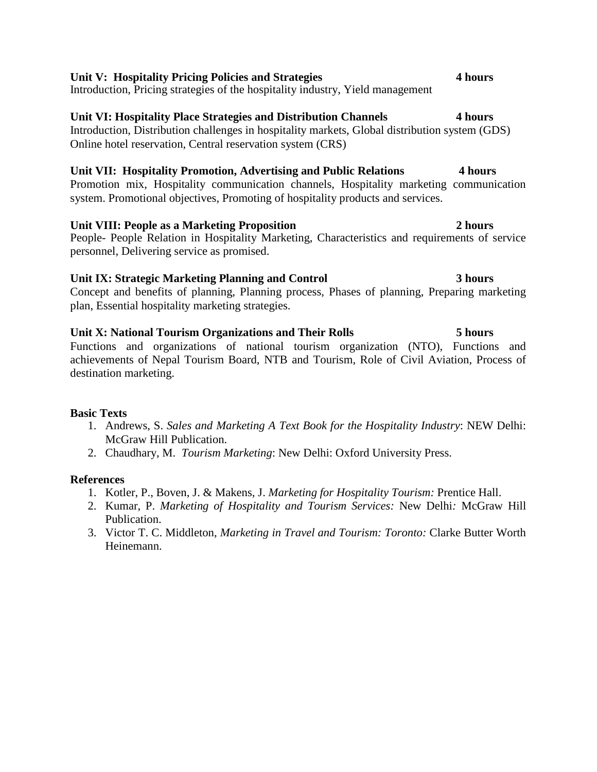# **Unit V: Hospitality Pricing Policies and Strategies 4 hours**

Introduction, Pricing strategies of the hospitality industry, Yield management

# **Unit VI: Hospitality Place Strategies and Distribution Channels 4 hours**

Introduction, Distribution challenges in hospitality markets, Global distribution system (GDS) Online hotel reservation, Central reservation system (CRS)

# **Unit VII: Hospitality Promotion, Advertising and Public Relations 4 hours**

Promotion mix, Hospitality communication channels, Hospitality marketing communication system. Promotional objectives, Promoting of hospitality products and services.

# **Unit VIII: People as a Marketing Proposition 2 hours**

People- People Relation in Hospitality Marketing, Characteristics and requirements of service personnel, Delivering service as promised.

# **Unit IX: Strategic Marketing Planning and Control 3 hours**

Concept and benefits of planning, Planning process, Phases of planning, Preparing marketing plan, Essential hospitality marketing strategies.

# **Unit X: National Tourism Organizations and Their Rolls 5 hours**

Functions and organizations of national tourism organization (NTO), Functions and achievements of Nepal Tourism Board, NTB and Tourism, Role of Civil Aviation, Process of destination marketing.

# **Basic Texts**

- 1. Andrews, S. *Sales and Marketing A Text Book for the Hospitality Industry*: NEW Delhi: McGraw Hill Publication.
- 2. Chaudhary, M. *Tourism Marketing*: New Delhi: Oxford University Press.

- 1. Kotler, P., Boven, J. & Makens, J. *Marketing for Hospitality Tourism:* Prentice Hall.
- 2. Kumar, P. *Marketing of Hospitality and Tourism Services:* New Delhi*:* McGraw Hill Publication.
- 3. Victor T. C. Middleton, *Marketing in Travel and Tourism: Toronto:* Clarke Butter Worth Heinemann.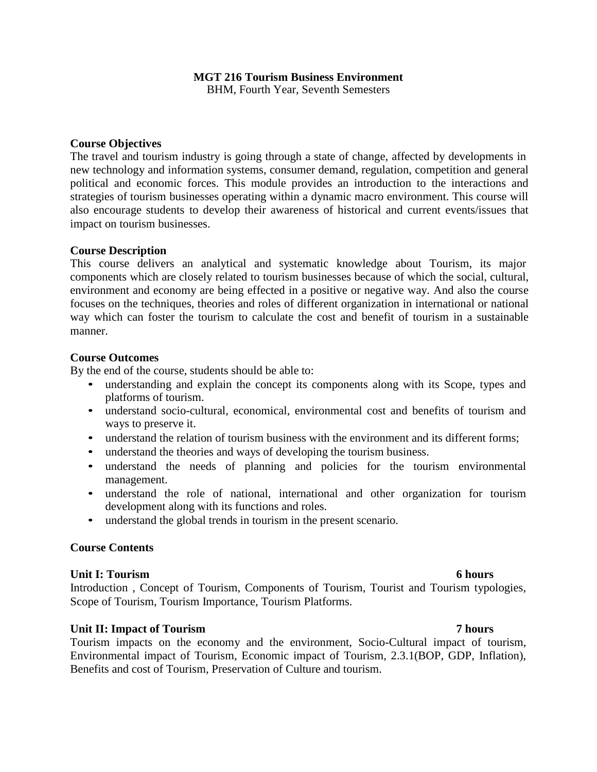# **MGT 216 Tourism Business Environment**

BHM, Fourth Year, Seventh Semesters

### **Course Objectives**

The travel and tourism industry is going through a state of change, affected by developments in new technology and information systems, consumer demand, regulation, competition and general political and economic forces. This module provides an introduction to the interactions and strategies of tourism businesses operating within a dynamic macro environment. This course will also encourage students to develop their awareness of historical and current events/issues that impact on tourism businesses.

#### **Course Description**

This course delivers an analytical and systematic knowledge about Tourism, its major components which are closely related to tourism businesses because of which the social, cultural, environment and economy are being effected in a positive or negative way. And also the course focuses on the techniques, theories and roles of different organization in international or national way which can foster the tourism to calculate the cost and benefit of tourism in a sustainable manner.

#### **Course Outcomes**

By the end of the course, students should be able to:

- understanding and explain the concept its components along with its Scope, types and platforms of tourism.
- understand socio-cultural, economical, environmental cost and benefits of tourism and ways to preserve it.
- understand the relation of tourism business with the environment and its different forms;
- understand the theories and ways of developing the tourism business.
- understand the needs of planning and policies for the tourism environmental management.
- understand the role of national, international and other organization for tourism development along with its functions and roles.
- understand the global trends in tourism in the present scenario.

### **Course Contents**

#### **Unit I: Tourism 6 hours**

Introduction , Concept of Tourism, Components of Tourism, Tourist and Tourism typologies, Scope of Tourism, Tourism Importance, Tourism Platforms.

### **Unit II: Impact of Tourism 7 hours**

Tourism impacts on the economy and the environment, Socio-Cultural impact of tourism, Environmental impact of Tourism, Economic impact of Tourism, 2.3.1(BOP, GDP, Inflation), Benefits and cost of Tourism, Preservation of Culture and tourism.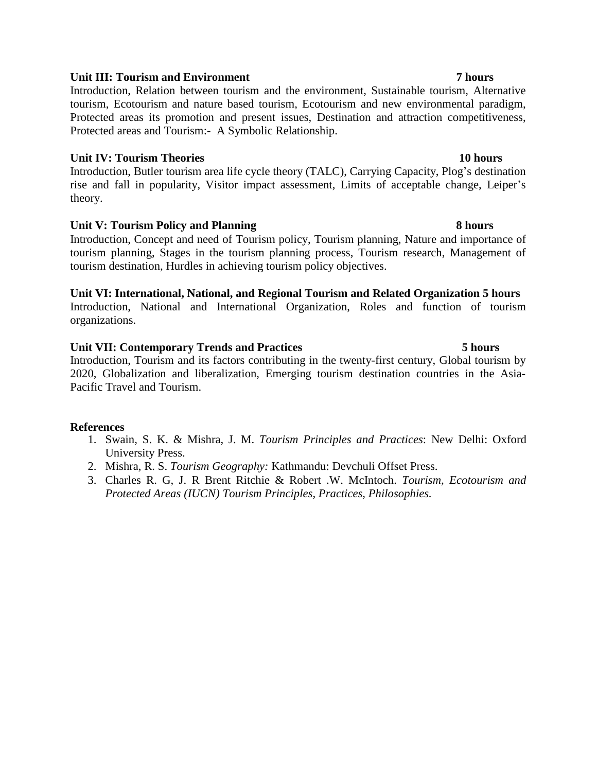# **Unit III: Tourism and Environment 7 hours**

Introduction, Relation between tourism and the environment, Sustainable tourism, Alternative tourism, Ecotourism and nature based tourism, Ecotourism and new environmental paradigm, Protected areas its promotion and present issues, Destination and attraction competitiveness, Protected areas and Tourism:- A Symbolic Relationship.

### **Unit IV: Tourism Theories 10 hours**

Introduction, Butler tourism area life cycle theory (TALC), Carrying Capacity, Plog's destination rise and fall in popularity, Visitor impact assessment, Limits of acceptable change, Leiper's theory.

# **Unit V: Tourism Policy and Planning 8 hours**

Introduction, Concept and need of Tourism policy, Tourism planning, Nature and importance of tourism planning, Stages in the tourism planning process, Tourism research, Management of tourism destination, Hurdles in achieving tourism policy objectives.

# **Unit VI: International, National, and Regional Tourism and Related Organization 5 hours**

Introduction, National and International Organization, Roles and function of tourism organizations.

### **Unit VII: Contemporary Trends and Practices 5 hours**

Introduction, Tourism and its factors contributing in the twenty-first century, Global tourism by 2020, Globalization and liberalization, Emerging tourism destination countries in the Asia-Pacific Travel and Tourism.

- 1. Swain, S. K. & Mishra, J. M. *Tourism Principles and Practices*: New Delhi: Oxford University Press.
- 2. Mishra, R. S. *Tourism Geography:* Kathmandu: Devchuli Offset Press.
- 3. Charles R. G, J. R Brent Ritchie & Robert .W. McIntoch. *Tourism, Ecotourism and Protected Areas (IUCN) Tourism Principles, Practices, Philosophies.*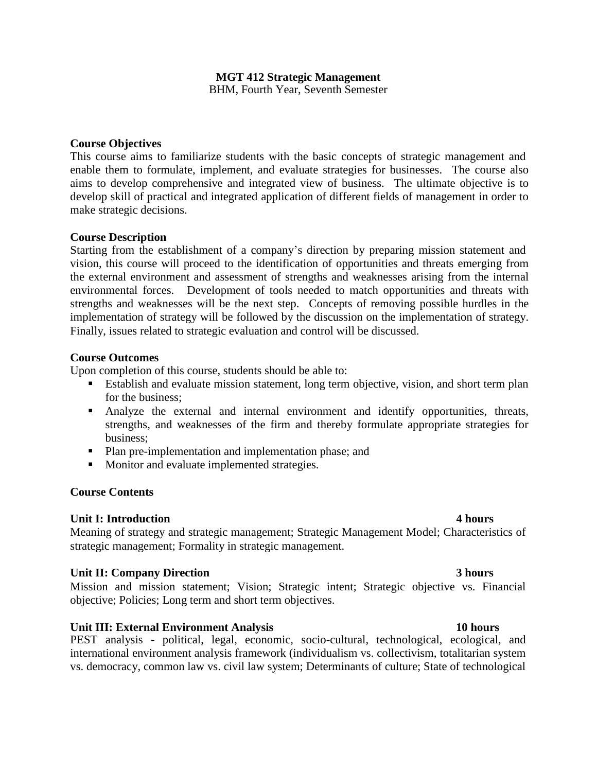# **MGT 412 Strategic Management**

BHM, Fourth Year, Seventh Semester

#### **Course Objectives**

This course aims to familiarize students with the basic concepts of strategic management and enable them to formulate, implement, and evaluate strategies for businesses. The course also aims to develop comprehensive and integrated view of business. The ultimate objective is to develop skill of practical and integrated application of different fields of management in order to make strategic decisions.

#### **Course Description**

Starting from the establishment of a company's direction by preparing mission statement and vision, this course will proceed to the identification of opportunities and threats emerging from the external environment and assessment of strengths and weaknesses arising from the internal environmental forces. Development of tools needed to match opportunities and threats with strengths and weaknesses will be the next step. Concepts of removing possible hurdles in the implementation of strategy will be followed by the discussion on the implementation of strategy. Finally, issues related to strategic evaluation and control will be discussed.

#### **Course Outcomes**

Upon completion of this course, students should be able to:

- Establish and evaluate mission statement, long term objective, vision, and short term plan for the business;
- Analyze the external and internal environment and identify opportunities, threats, strengths, and weaknesses of the firm and thereby formulate appropriate strategies for business;
- Plan pre-implementation and implementation phase; and
- Monitor and evaluate implemented strategies.

### **Course Contents**

### **Unit I: Introduction 4 hours**

Meaning of strategy and strategic management; Strategic Management Model; Characteristics of strategic management; Formality in strategic management.

### **Unit II: Company Direction 3 hours**

Mission and mission statement; Vision; Strategic intent; Strategic objective vs. Financial objective; Policies; Long term and short term objectives.

### **Unit III: External Environment Analysis 10 hours**

PEST analysis - political, legal, economic, socio-cultural, technological, ecological, and international environment analysis framework (individualism vs. collectivism, totalitarian system vs. democracy, common law vs. civil law system; Determinants of culture; State of technological